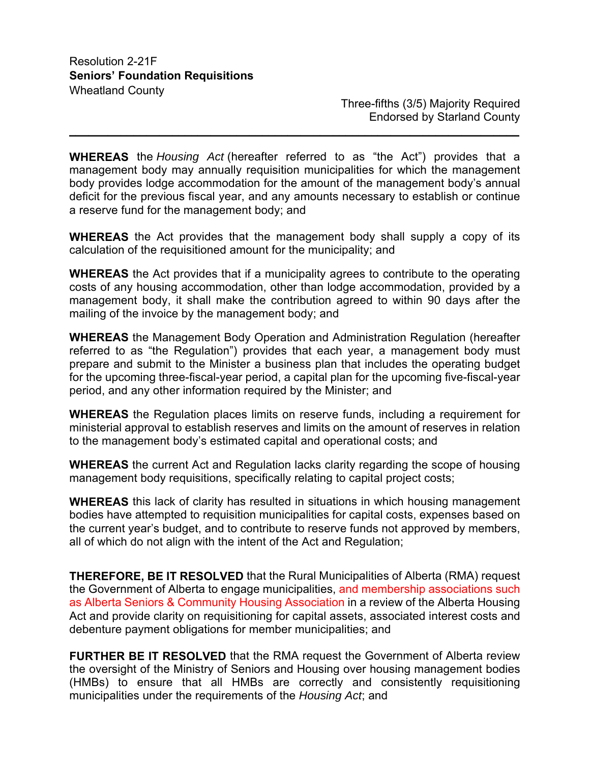Three-fifths (3/5) Majority Required Endorsed by Starland County

**WHEREAS** the *Housing Act* (hereafter referred to as "the Act") provides that a management body may annually requisition municipalities for which the management body provides lodge accommodation for the amount of the management body's annual deficit for the previous fiscal year, and any amounts necessary to establish or continue a reserve fund for the management body; and

**\_\_\_\_\_\_\_\_\_\_\_\_\_\_\_\_\_\_\_\_\_\_\_\_\_\_\_\_\_\_\_\_\_\_\_\_\_\_\_\_\_\_\_\_\_\_\_\_\_\_\_\_\_\_\_\_\_\_\_\_\_\_\_\_\_\_\_\_\_\_**

**WHEREAS** the Act provides that the management body shall supply a copy of its calculation of the requisitioned amount for the municipality; and

**WHEREAS** the Act provides that if a municipality agrees to contribute to the operating costs of any housing accommodation, other than lodge accommodation, provided by a management body, it shall make the contribution agreed to within 90 days after the mailing of the invoice by the management body; and

**WHEREAS** the Management Body Operation and Administration Regulation (hereafter referred to as "the Regulation") provides that each year, a management body must prepare and submit to the Minister a business plan that includes the operating budget for the upcoming three-fiscal-year period, a capital plan for the upcoming five-fiscal-year period, and any other information required by the Minister; and

**WHEREAS** the Regulation places limits on reserve funds, including a requirement for ministerial approval to establish reserves and limits on the amount of reserves in relation to the management body's estimated capital and operational costs; and

**WHEREAS** the current Act and Regulation lacks clarity regarding the scope of housing management body requisitions, specifically relating to capital project costs;

**WHEREAS** this lack of clarity has resulted in situations in which housing management bodies have attempted to requisition municipalities for capital costs, expenses based on the current year's budget, and to contribute to reserve funds not approved by members, all of which do not align with the intent of the Act and Regulation;

**THEREFORE, BE IT RESOLVED** that the Rural Municipalities of Alberta (RMA) request the Government of Alberta to engage municipalities, and membership associations such as Alberta Seniors & Community Housing Association in a review of the Alberta Housing Act and provide clarity on requisitioning for capital assets, associated interest costs and debenture payment obligations for member municipalities; and

**FURTHER BE IT RESOLVED** that the RMA request the Government of Alberta review the oversight of the Ministry of Seniors and Housing over housing management bodies (HMBs) to ensure that all HMBs are correctly and consistently requisitioning municipalities under the requirements of the *Housing Act*; and